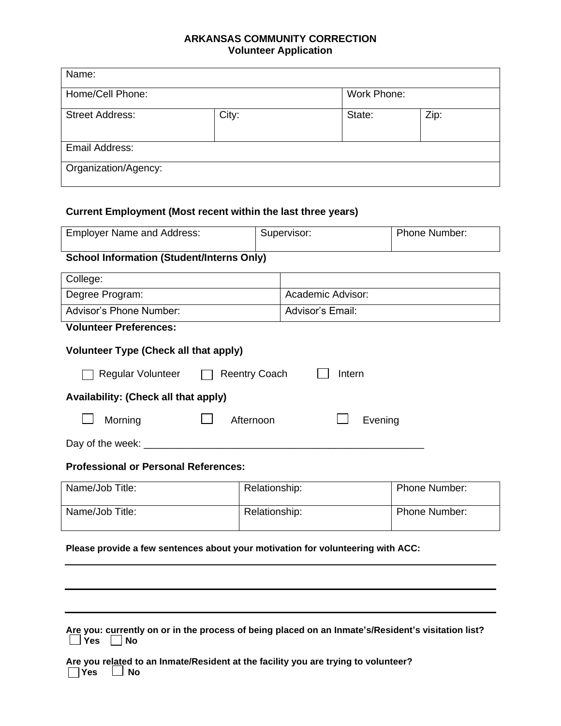## **ARKANSAS COMMUNITY CORRECTION Volunteer Application**

| Name:                  |       |             |      |
|------------------------|-------|-------------|------|
| Home/Cell Phone:       |       | Work Phone: |      |
| <b>Street Address:</b> | City: | State:      | Zip: |
| Email Address:         |       |             |      |
| Organization/Agency:   |       |             |      |

## **Current Employment (Most recent within the last three years)**

| <b>Employer Name and Address:</b>                                                                                             |               | Supervisor:       | Phone Number: |  |  |  |
|-------------------------------------------------------------------------------------------------------------------------------|---------------|-------------------|---------------|--|--|--|
| <b>School Information (Student/Interns Only)</b>                                                                              |               |                   |               |  |  |  |
| College:                                                                                                                      |               |                   |               |  |  |  |
| Degree Program:                                                                                                               |               | Academic Advisor: |               |  |  |  |
| Advisor's Phone Number:                                                                                                       |               | Advisor's Email:  |               |  |  |  |
| <b>Volunteer Preferences:</b>                                                                                                 |               |                   |               |  |  |  |
| <b>Volunteer Type (Check all that apply)</b>                                                                                  |               |                   |               |  |  |  |
| Regular Volunteer<br><b>Reentry Coach</b><br>Intern                                                                           |               |                   |               |  |  |  |
| Availability: (Check all that apply)                                                                                          |               |                   |               |  |  |  |
| Morning<br>Afternoon<br>Evening                                                                                               |               |                   |               |  |  |  |
| <u> 1986 - Johann John Stein, mars ar breist fan de Fryske kommunent (</u><br>Day of the week: ________                       |               |                   |               |  |  |  |
| <b>Professional or Personal References:</b>                                                                                   |               |                   |               |  |  |  |
| Name/Job Title:                                                                                                               | Relationship: |                   | Phone Number: |  |  |  |
| Name/Job Title:                                                                                                               | Relationship: |                   | Phone Number: |  |  |  |
| Please provide a few sentences about your motivation for volunteering with ACC:                                               |               |                   |               |  |  |  |
|                                                                                                                               |               |                   |               |  |  |  |
|                                                                                                                               |               |                   |               |  |  |  |
|                                                                                                                               |               |                   |               |  |  |  |
|                                                                                                                               |               |                   |               |  |  |  |
| Are you: currently on or in the process of being placed on an Inmate's/Resident's visitation list?<br><b>Yes</b><br><b>No</b> |               |                   |               |  |  |  |

**Are you related to an Inmate/Resident at the facility you are trying to volunteer? Yes No**